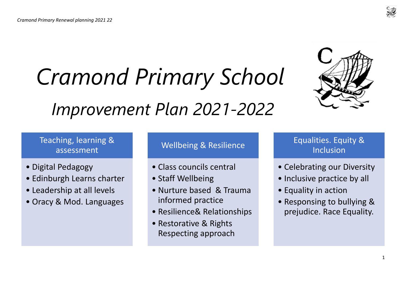# *Cramond Primary School*

# *Improvement Plan 2021-2022*



# Teaching, learning & assessment

- Digital Pedagogy
- Edinburgh Learns charter
- Leadership at all levels
- Oracy & Mod. Languages

# Wellbeing & Resilience

- Class councils central
- Staff Wellbeing
- Nurture based & Trauma informed practice
- Resilience& Relationships
- Restorative & Rights Respecting approach

## Equalities. Equity & Inclusion

- Celebrating our Diversity
- Inclusive practice by all
- Equality in action
- Responsing to bullying & prejudice. Race Equality.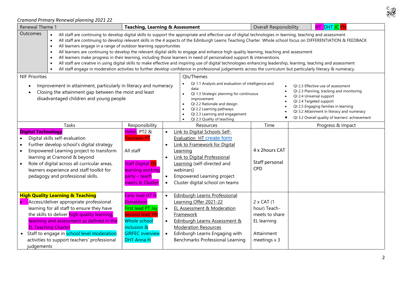| Renewal Theme 1           |                                                                                                                                                                                                                                                                                                                                                                 | <b>Teaching, Learning &amp; Assessment</b>                                                                                                                             |                                                                                                                                                                                                                                                                                                                                                                                                                                                                                                                                                                                                                                                                                                                                                                                                                                                                                                                                               | <b>Overall Responsibility</b>                                                                      | HT DHT JC YN                                                                                                                                                                                                                                                                   |
|---------------------------|-----------------------------------------------------------------------------------------------------------------------------------------------------------------------------------------------------------------------------------------------------------------------------------------------------------------------------------------------------------------|------------------------------------------------------------------------------------------------------------------------------------------------------------------------|-----------------------------------------------------------------------------------------------------------------------------------------------------------------------------------------------------------------------------------------------------------------------------------------------------------------------------------------------------------------------------------------------------------------------------------------------------------------------------------------------------------------------------------------------------------------------------------------------------------------------------------------------------------------------------------------------------------------------------------------------------------------------------------------------------------------------------------------------------------------------------------------------------------------------------------------------|----------------------------------------------------------------------------------------------------|--------------------------------------------------------------------------------------------------------------------------------------------------------------------------------------------------------------------------------------------------------------------------------|
| <b>Outcomes</b>           | All learners engage in a range of outdoor learning opportunities<br>$\bullet$<br>$\bullet$<br>$\bullet$                                                                                                                                                                                                                                                         |                                                                                                                                                                        | All staff are continuing to develop digital skills to support the appropriate and effective use of digital technologies in learning, teaching and assessment<br>All staff are continuing to develop relevant skills in the 4 aspects of the Edinburgh Learns Teaching Charter. Whole school focus on DIFFERENTIATION & FEEDBACK<br>All learners are continuing to develop the relevant digital skills to engage and enhance high quality learning, teaching and assessment<br>All learners make progress in their learning, including those learners in need of personalised support & interventions.<br>All staff are creative in using digital skills to make effective and inspiring use of digital technologies enhancing leadership, learning, teaching and assessment<br>All staff engage in moderation activities to further develop confidence in professional judgements across the curriculum but particularly literacy & numeracy. |                                                                                                    |                                                                                                                                                                                                                                                                                |
| <b>NIF Priorities</b>     | Improvement in attainment, particularly in literacy and numeracy<br>Closing the attainment gap between the most and least<br>disadvantaged children and young people                                                                                                                                                                                            |                                                                                                                                                                        | Qls/Themes<br>QI 1.1 Analysis and evaluation of intelligence and<br>data<br>QI 1.3 Strategic planning for continuous<br>improvement<br>QI 2.2 Rationale and design<br>$\bullet$<br>QI 2.2 Learning pathways<br>QI 2.3 Learning and engagement<br>QI 2.3 Quality of teaching                                                                                                                                                                                                                                                                                                                                                                                                                                                                                                                                                                                                                                                                   |                                                                                                    | QI 2.3 Effective use of assessment<br>QI 2.3 Planning, tracking and monitoring<br>QI 2.4 Universal support<br>QI 2.4 Targeted support<br>QI 2.5 Engaging families in learning<br>QI 3.2 Attainment in literacy and numeracy<br>QI 3.2 Overall quality of learners' achievement |
| <b>Digital Technology</b> | Tasks<br>Digital skills self-evaluation<br>Further develop school's digital strategy<br>Empowered Learning project to transform<br>learning at Cramond & beyond<br>Role of digital across all curricular areas,<br>learners experience and staff toolkit for<br>pedagogy and professional skills.                                                               | Responsibility<br>Helen, PT2 &<br>Yasmeen PT<br>All staff<br><b>Staff Digital YN</b><br>learning working<br>party – teach<br>meets & Cluster                           | Resources<br>Link to Digital Schools Self-<br>Evaluation HT create form<br>Link to Framework for Digital<br>Learning<br>Link to Digital Professional<br>Learning (self-directed and<br>webinars)<br>Empowered Learning project<br>Cluster digital school on teams                                                                                                                                                                                                                                                                                                                                                                                                                                                                                                                                                                                                                                                                             | Time<br>4 x 2hours CAT<br>Staff personal<br><b>CPD</b>                                             | Progress & Impact                                                                                                                                                                                                                                                              |
| $\bullet$<br>judgements   | <b>High Quality Learning &amp; Teaching</b><br>Access/deliver appropriate professional<br>learning for all staff to ensure they have<br>the skills to deliver high quality learning,<br>teaching and assessment as defined in the<br><b>EL Teaching Charter</b><br>• Staff to engage in school level moderation<br>activities to support teachers' professional | Early lead HT H<br><b>Donaldson</b><br>First lead PT Jay<br><b>Second lead YN</b><br><b>Whole school</b><br>inclusion &<br><b>GIRFEC overview</b><br><b>DHT Anna H</b> | <b>Edinburgh Learns Professional</b><br>$\bullet$<br>Learning Offer 2021-22<br>EL Assessment & Moderation<br>$\bullet$<br>Framework<br>Edinburgh Learns Assessment &<br>$\bullet$<br><b>Moderation Resources</b><br>Edinburgh Learns Engaging with<br>$\bullet$<br>Benchmarks Professional Learning                                                                                                                                                                                                                                                                                                                                                                                                                                                                                                                                                                                                                                           | $2 \times CAT$ (1<br>hour) Teach-<br>meets to share<br>EL learning<br>Attainment<br>meetings $x$ 3 |                                                                                                                                                                                                                                                                                |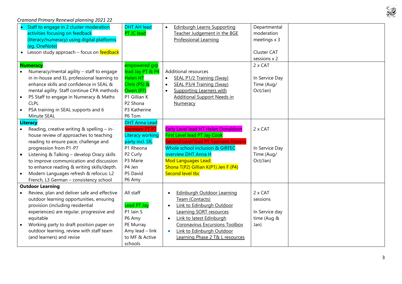

| Staff to engage in 2 cluster moderation<br>activities focusing on feedback<br>PT JC lead | <b>DHT AH lead</b><br><b>Edinburgh Learns Supporting</b><br>$\bullet$<br>Teacher Judgement in the BGE | Departmental<br>moderation |
|------------------------------------------------------------------------------------------|-------------------------------------------------------------------------------------------------------|----------------------------|
| (literacy/numeracy) using digital platforms                                              | Professional Learning                                                                                 | meetings x 3               |
| (eg. OneNote)                                                                            |                                                                                                       |                            |
| Lesson study approach - focus on feedback                                                |                                                                                                       | Cluster CAT                |
|                                                                                          |                                                                                                       | sessions x 2               |
| <b>Numeracy</b>                                                                          | empowered grp                                                                                         | 2 x CAT                    |
| Numeracy/mental agility - staff to engage                                                | lead Jay PT & P4<br><b>Additional resources</b>                                                       |                            |
| in in-house and EL professional learning to<br><b>Helen HT</b>                           | <b>SEAL P1/2 Training (Sway)</b><br>$\bullet$                                                         | In Service Day             |
| enhance skills and confidence in SEAL &                                                  | Chris (P5) &<br>SEAL P3/4 Training (Sway)<br>$\bullet$                                                | Time (Aug/                 |
| mental agility. Staff continue CPA methods<br>Owen (P7)                                  | <b>Supporting Learners with</b><br>$\bullet$                                                          | Oct/Jan)                   |
| P1 Gillian K<br>P5 Staff to engage in Numeracy & Maths                                   | <b>Additional Support Needs in</b>                                                                    |                            |
| <b>CLPL</b><br>P <sub>2</sub> Shona                                                      | Numeracy                                                                                              |                            |
| PSA training in SEAL supports and 6                                                      | P3 Katherine                                                                                          |                            |
| P6 Tom<br>Minute SEAL                                                                    |                                                                                                       |                            |
| <b>Literacy</b>                                                                          | <b>DHT Anna Lead</b>                                                                                  |                            |
| Reading, creative writing & spelling - in-                                               | Yasmeen PT P7<br>Early Level lead HT Helen Donaldson                                                  | 2 x CAT                    |
| house review of approaches to teaching                                                   | Literacy working<br><b>First Level lead PT Jay Cook</b>                                               |                            |
| reading to ensure pace, challenge and                                                    | party incl. SfL<br>Second Level lead PT Yasmeen Naeem                                                 |                            |
| P1 Rheona<br>progression from P1-P7                                                      | Whole school inclusion & GIRFEC                                                                       | In Service Day             |
| Listening & Talking - develop Oracy skills<br>P2 Curly                                   | overview DHT Anna H                                                                                   | Time (Aug/                 |
| to improve communication and discussion<br>P3 Marie                                      | Mod Languages Lead:                                                                                   | Oct/Jan)                   |
| to enhance reading & writing skills/depth.<br>P4 Jen                                     | Shona T(P2) Gillian K(P1) Jen F (P4)                                                                  |                            |
| Modern Languages refresh & refocus: L2<br>P5 David                                       | Second level tbc                                                                                      |                            |
| P6 Amy<br>French, L3 German - consistency school                                         |                                                                                                       |                            |
| <b>Outdoor Learning</b>                                                                  |                                                                                                       |                            |
| Review, plan and deliver safe and effective<br>All staff                                 | Edinburgh Outdoor Learning<br>$\bullet$                                                               | 2 x CAT                    |
| outdoor learning opportunities, ensuring                                                 | Team (Contacts)                                                                                       | sessions                   |
| provision (including residential                                                         | Lead PT Jay<br>Link to Edinburgh Outdoor                                                              |                            |
| P1 Iain S<br>experiences) are regular, progressive and                                   | Learning SORT resources                                                                               | In Service day             |
| P6 Amy<br>equitable                                                                      | Link to latest Edinburgh<br>$\bullet$                                                                 | time (Aug &                |
| Working party to draft position paper on<br>PE Murray                                    | <b>Coronavirus Excursions Toolbox</b>                                                                 | Jan)                       |
| outdoor learning, review with staff team                                                 | Amy lead - link<br>Link to Edinburgh Outdoor<br>$\bullet$                                             |                            |
| (and learners) and revise                                                                | to MF & Active<br>Learning Phase 2 T& L resources                                                     |                            |
| schools                                                                                  |                                                                                                       |                            |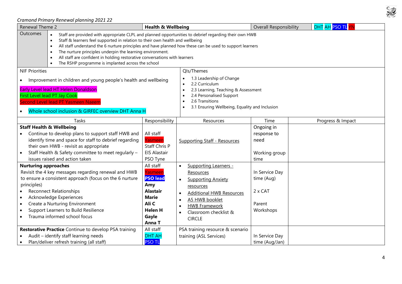

| Renewal Theme 2                                                                                                                                                                                                                                                                                                                                                                                                                                                                                                                          | <b>Health &amp; Wellbeing</b>                                                                                                                                                      |                                                                                                                                                                                                                                                                      | <b>Overall Responsibility</b>                                  | DHT AH PSO TL YN  |  |  |
|------------------------------------------------------------------------------------------------------------------------------------------------------------------------------------------------------------------------------------------------------------------------------------------------------------------------------------------------------------------------------------------------------------------------------------------------------------------------------------------------------------------------------------------|------------------------------------------------------------------------------------------------------------------------------------------------------------------------------------|----------------------------------------------------------------------------------------------------------------------------------------------------------------------------------------------------------------------------------------------------------------------|----------------------------------------------------------------|-------------------|--|--|
| Outcomes<br>Staff are provided with appropriate CLPL and planned opportunities to debrief regarding their own HWB<br>Staff & learners feel supported in relation to their own health and wellbeing<br>$\bullet$<br>All staff understand the 6 nurture principles and have planned how these can be used to support learners<br>$\bullet$<br>The nurture principles underpin the learning environment.<br>All staff are confident in holding restorative conversations with learners<br>The RSHP programme is implanted across the school |                                                                                                                                                                                    |                                                                                                                                                                                                                                                                      |                                                                |                   |  |  |
| <b>NIF Priorities</b>                                                                                                                                                                                                                                                                                                                                                                                                                                                                                                                    |                                                                                                                                                                                    | Qls/Themes                                                                                                                                                                                                                                                           |                                                                |                   |  |  |
| Improvement in children and young people's health and wellbeing<br>Early Level lead HT Helen Donaldson<br><b>First Level lead PT Jay Cook</b><br>Second Level lead PT Yasmeen Naeem<br>Whole school inclusion & GIRFEC overview DHT Anna H                                                                                                                                                                                                                                                                                               | 1.3 Leadership of Change<br>2.2 Curriculum<br>2.3 Learning, Teaching & Assessment<br>2.4 Personalised Support<br>2.6 Transitions<br>3.1 Ensuring Wellbeing, Equality and Inclusion |                                                                                                                                                                                                                                                                      |                                                                |                   |  |  |
| Tasks                                                                                                                                                                                                                                                                                                                                                                                                                                                                                                                                    | Responsibility                                                                                                                                                                     | Resources                                                                                                                                                                                                                                                            | Time                                                           | Progress & Impact |  |  |
| <b>Staff Health &amp; Wellbeing</b><br>Continue to develop plans to support staff HWB and<br>identify time and space for staff to debrief regarding<br>their own HWB - revisit as appropriate<br>Staff Health & Safety committee to meet regularly -<br>issues raised and action taken                                                                                                                                                                                                                                                   | All staff<br>Yasmeen<br><b>Staff Chris P</b><br><b>EIS Alastair</b><br>PSO Tyne                                                                                                    | <b>Supporting Staff - Resources</b>                                                                                                                                                                                                                                  | Ongoing in<br>response to<br>need<br>Working group<br>time     |                   |  |  |
| <b>Nurturing approaches</b><br>Revisit the 4 key messages regarding renewal and HWB<br>to ensure a consistent approach (focus on the 6 nurture<br>principles)<br><b>Reconnect Relationships</b><br>Acknowledge Experiences<br>Create a Nurturing Environment<br>Support Learners to Build Resilience<br>Trauma informed school focus                                                                                                                                                                                                     | All staff<br>Yasmeen<br><b>PSO lead</b><br>Amy<br><b>Alastair</b><br><b>Marie</b><br>Ali C<br><b>Helen H</b><br>Gayle<br>Anna T                                                    | Supporting Learners -<br>$\bullet$<br>Resources<br><b>Supporting Anxiety</b><br>$\bullet$<br>resources<br><b>Additional HWB Resources</b><br>A5 HWB booklet<br>$\bullet$<br><b>HWB Framework</b><br>$\bullet$<br>Classroom checklist &<br>$\bullet$<br><b>CIRCLE</b> | In Service Day<br>time (Aug)<br>2 x CAT<br>Parent<br>Workshops |                   |  |  |
| Restorative Practice Continue to develop PSA training<br>Audit - identify staff learning needs<br>Plan/deliver refresh training (all staff)                                                                                                                                                                                                                                                                                                                                                                                              | All staff<br><b>DHT AH</b><br><b>PSO TL</b>                                                                                                                                        | PSA training resource & scenario<br>training (ASL Services)                                                                                                                                                                                                          | In Service Day<br>time (Aug/Jan)                               |                   |  |  |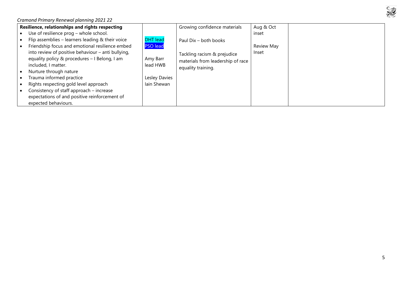

| Resilience, relationships and rights respecting |                                                    |                 | Growing confidence materials      | Aug & Oct  |  |
|-------------------------------------------------|----------------------------------------------------|-----------------|-----------------------------------|------------|--|
|                                                 | Use of resilience prog - whole school.             |                 |                                   | inset      |  |
|                                                 | Flip assemblies - learners leading & their voice   | <b>DHT</b> lead | Paul Dix - both books             |            |  |
|                                                 | Friendship focus and emotional resilience embed    | <b>PSO lead</b> |                                   | Review May |  |
|                                                 | into review of positive behaviour - anti bullying, |                 | Tackling racism & prejudice       | Inset      |  |
|                                                 | equality policy & procedures - I Belong, I am      | Amy Barr        | materials from leadership of race |            |  |
|                                                 | included, I matter.                                | lead HWB        | equality training.                |            |  |
|                                                 | Nurture through nature                             |                 |                                   |            |  |
|                                                 | Trauma informed practice                           | Lesley Davies   |                                   |            |  |
|                                                 | Rights respecting gold level approach              | lain Shewan     |                                   |            |  |
|                                                 | Consistency of staff approach – increase           |                 |                                   |            |  |
|                                                 | expectations of and positive reinforcement of      |                 |                                   |            |  |
|                                                 | expected behaviours.                               |                 |                                   |            |  |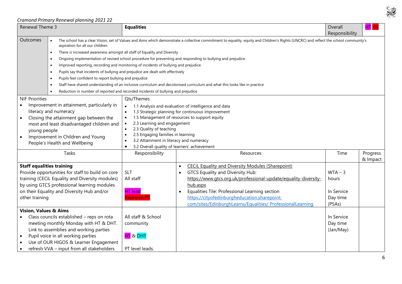

| Renewal Theme 3                                                                                                                                                                                                                                                            |                                                                                                                                                                                                             | <b>Equalities</b>                                                                                                                                                                                                                                       | Overall<br>Responsibility                                                                                                                                                                                                                                                                                                                   | <b>HT YN</b>                                           |                      |  |  |  |  |
|----------------------------------------------------------------------------------------------------------------------------------------------------------------------------------------------------------------------------------------------------------------------------|-------------------------------------------------------------------------------------------------------------------------------------------------------------------------------------------------------------|---------------------------------------------------------------------------------------------------------------------------------------------------------------------------------------------------------------------------------------------------------|---------------------------------------------------------------------------------------------------------------------------------------------------------------------------------------------------------------------------------------------------------------------------------------------------------------------------------------------|--------------------------------------------------------|----------------------|--|--|--|--|
| Outcomes                                                                                                                                                                                                                                                                   | aspiration for all our children<br>There is increased awareness amongst all staff of Equality and Diversity<br>$\bullet$                                                                                    |                                                                                                                                                                                                                                                         | The school has a clear Vision, set of Values and Aims which demonstrate a collective commitment to equality, equity and Children's Rights (UNCRC) and reflect the school community's                                                                                                                                                        |                                                        |                      |  |  |  |  |
|                                                                                                                                                                                                                                                                            |                                                                                                                                                                                                             |                                                                                                                                                                                                                                                         | Ongoing implementation of revised school procedure for preventing and responding to bullying and prejudice.                                                                                                                                                                                                                                 |                                                        |                      |  |  |  |  |
|                                                                                                                                                                                                                                                                            | Improved reporting, recording and monitoring of incidents of bullying and prejudice                                                                                                                         |                                                                                                                                                                                                                                                         |                                                                                                                                                                                                                                                                                                                                             |                                                        |                      |  |  |  |  |
|                                                                                                                                                                                                                                                                            | Pupils say that incidents of bullying and prejudice are dealt with effectively                                                                                                                              |                                                                                                                                                                                                                                                         |                                                                                                                                                                                                                                                                                                                                             |                                                        |                      |  |  |  |  |
|                                                                                                                                                                                                                                                                            | Pupils feel confident to report bullying and prejudice                                                                                                                                                      |                                                                                                                                                                                                                                                         |                                                                                                                                                                                                                                                                                                                                             |                                                        |                      |  |  |  |  |
|                                                                                                                                                                                                                                                                            |                                                                                                                                                                                                             |                                                                                                                                                                                                                                                         | Staff have shared understanding of an inclusive curriculum and decolonised curriculum and what this looks like in practice                                                                                                                                                                                                                  |                                                        |                      |  |  |  |  |
|                                                                                                                                                                                                                                                                            | Reduction in number of reported and recorded incidents of bullying and prejudice                                                                                                                            |                                                                                                                                                                                                                                                         |                                                                                                                                                                                                                                                                                                                                             |                                                        |                      |  |  |  |  |
| <b>NIF Priorities</b>                                                                                                                                                                                                                                                      |                                                                                                                                                                                                             | Qls/Themes                                                                                                                                                                                                                                              |                                                                                                                                                                                                                                                                                                                                             |                                                        |                      |  |  |  |  |
| Improvement in attainment, particularly in<br>literacy and numeracy<br>Closing the attainment gap between the<br>$\bullet$<br>most and least disadvantaged children and<br>young people<br>Improvement in Children and Young<br>$\bullet$<br>People's Health and Wellbeing |                                                                                                                                                                                                             | $\bullet$<br>$\bullet$<br>2.3 Learning and engagement<br>$\bullet$<br>2.3 Quality of teaching<br>$\bullet$<br>2.5 Engaging families in learning<br>3.2 Attainment in literacy and numeracy<br>3.2 Overall quality of learners' achievement<br>$\bullet$ | 1.1 Analysis and evaluation of intelligence and data<br>1.3 Strategic planning for continuous improvement<br>1.5 Management of resources to support equity                                                                                                                                                                                  |                                                        |                      |  |  |  |  |
|                                                                                                                                                                                                                                                                            | Tasks                                                                                                                                                                                                       | Responsibility                                                                                                                                                                                                                                          | Resources                                                                                                                                                                                                                                                                                                                                   | Time                                                   | Progress<br>& Impact |  |  |  |  |
| <b>Staff equalities training</b><br>Provide opportunities for staff to build on core<br>training (CECiL Equality and Diversity modules)<br>by using GTCS professional learning modules<br>on their Equality and Diversity Hub and/or<br>other training                     |                                                                                                                                                                                                             | <b>SLT</b><br>All staff<br><b>HT</b> lead<br><b>Yasmeen PT</b>                                                                                                                                                                                          | <b>CECIL Equality and Diversity Modules (Sharepoint)</b><br>GTCS Equality and Diversity Hub:<br>https://www.gtcs.org.uk/professional-update/equality-diversity-<br>hub.aspx<br>Equalities Tile: Professional Learning section<br>https://cityofedinburgheducation.sharepoint.<br>com/sites/EdinburghLearns/Equalities/ ProfessionalLearning | $WTA - 3$<br>hours<br>In Service<br>Day time<br>(PSAs) |                      |  |  |  |  |
| <b>Vision, Values &amp; Aims</b>                                                                                                                                                                                                                                           |                                                                                                                                                                                                             |                                                                                                                                                                                                                                                         |                                                                                                                                                                                                                                                                                                                                             |                                                        |                      |  |  |  |  |
| $\bullet$                                                                                                                                                                                                                                                                  | Class councils established - reps on rota<br>meeting monthly Monday with HT & DHT.<br>Link to assemblies and working parties<br>Pupil voice in all working parties<br>Use of OUR HIGOS & Learner Engagement | All staff & School<br>community<br>HT & DHT                                                                                                                                                                                                             |                                                                                                                                                                                                                                                                                                                                             | In Service<br>Day time<br>(Jan/May)                    |                      |  |  |  |  |
|                                                                                                                                                                                                                                                                            | refresh VVA - input from all stakeholders                                                                                                                                                                   | PT level leads.                                                                                                                                                                                                                                         |                                                                                                                                                                                                                                                                                                                                             |                                                        |                      |  |  |  |  |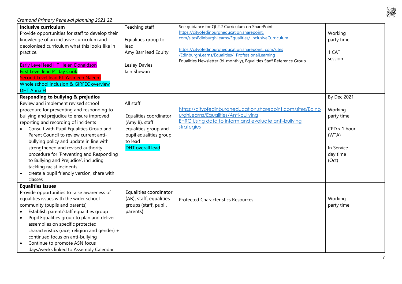#### *Cramond Primary Renewal planning 2021 22* **Inclusive curriculum** Provide opportunities for staff to develop their knowledge of an inclusive curriculum and decolonised curriculum what this looks like in practice. Early Level lead HT Helen Donaldson First Level lead PT Jay Cook Second Level lead PT Yasmeen Naeem Whole school inclusion & GIRFEC overview DHT Anna H Teaching staff Equalities group to lead Amy Barr lead Equity Lesley Davies Iain Shewan See guidance for QI 2.2 Curriculum on SharePoint https://cityofedinburgheducation.sharepoint. com/sitesEdinburghLearns/Equalities/ InclusiveCurriculum https://cityofedinburgheducation.sharepoint. com/sites /EdinburghLearns/Equalities/ ProfessionalLearning Equalities Newsletter (bi-monthly), Equalities Staff Reference Group Working party time 1 CAT session **Responding to bullying & prejudice** Review and implement revised school procedure for preventing and responding to bullying and prejudice to ensure improved reporting and recording of incidents • Consult with Pupil Equalities Group and Parent Council to review current antibullying policy and update in line with strengthened and revised authority procedure for 'Preventing and Responding to Bullying and Prejudice', including tackling racist incidents • create a pupil friendly version, share with classes All staff Equalities coordinator (Amy B), staff equalities group and pupil equalities group to lead DHT overall lead [https://cityofedinburgheducation.sharepoint.com/sites/Edinb](https://cityofedinburgheducation.sharepoint.com/sites/EdinburghLearns/Equalities/Anti-bullying) [urghLearns/Equalities/Anti-bullying](https://cityofedinburgheducation.sharepoint.com/sites/EdinburghLearns/Equalities/Anti-bullying) [EHRC Using data to inform and evaluate anti-bullying](https://cityofedinburgheducation.sharepoint.com/sites/EdinburghLearns/Equalities/Anti-bullying/Shared%20Documents/EHRC%20Using-data-to-inform-and-evaluate-anti-bullying-strategies.pdf)  [strategies](https://cityofedinburgheducation.sharepoint.com/sites/EdinburghLearns/Equalities/Anti-bullying/Shared%20Documents/EHRC%20Using-data-to-inform-and-evaluate-anti-bullying-strategies.pdf) By Dec 2021 Working party time CPD x 1 hour (WTA) In Service day time (Oct) **Equalities Issues** Provide opportunities to raise awareness of equalities issues with the wider school community (pupils and parents) • Establish parent/staff equalities group • Pupil Equalities group to plan and deliver assemblies on specific protected characteristics (race, religion and gender) + continued focus on anti-bullying • Continue to promote ASN focus days/weeks linked to Assembly Calendar Equalities coordinator (AB), staff, equalities groups (staff, pupil, parents) [Protected Characteristics Resources](https://cityofedinburgheducation.sharepoint.com/sites/EdinburghLearns/EdinburghLearnsAtHome/Equity%20and%20Support%20for%20Learning/Forms/AllItems.aspx?id=%2Fsites%2FEdinburghLearns%2FEdinburghLearnsAtHome%2FEquity%20and%20Support%20for%20Learning%2FResources%20for%20Equity%20and%20Inclusion%20Renewal%20Planning%2FEqualities%20Resources%2Epdf&parent=%2Fsites%2FEdinburghLearns%2FEdinburghLearnsAtHome%2FEquity%20and%20Support%20for%20Learning%2FResources%20for%20Equity%20and%20Inclusion%20Renewal%20Planning) Material Studies Assessment Resources party time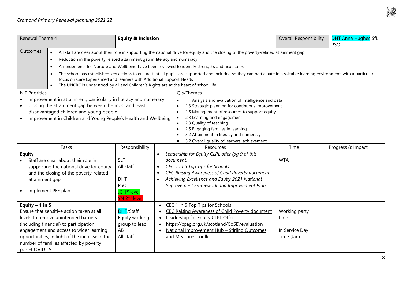

| Renewal Theme 4       |                                                                                                   | <b>Equity &amp; Inclusion</b> |                                                                           | Overall Responsibility                                                                                                                                                    | <b>DHT Anna Hughes SfL</b>                        |                   |  |  |  |
|-----------------------|---------------------------------------------------------------------------------------------------|-------------------------------|---------------------------------------------------------------------------|---------------------------------------------------------------------------------------------------------------------------------------------------------------------------|---------------------------------------------------|-------------------|--|--|--|
|                       |                                                                                                   |                               |                                                                           |                                                                                                                                                                           |                                                   | <b>PSO</b>        |  |  |  |
| Outcomes              | $\bullet$                                                                                         |                               |                                                                           | All staff are clear about their role in supporting the national drive for equity and the closing of the poverty-related attainment gap                                    |                                                   |                   |  |  |  |
|                       | Reduction in the poverty related attainment gap in literacy and numeracy<br>$\bullet$             |                               |                                                                           |                                                                                                                                                                           |                                                   |                   |  |  |  |
|                       | $\bullet$                                                                                         |                               |                                                                           | Arrangements for Nurture and Wellbeing have been reviewed to identify strengths and next steps                                                                            |                                                   |                   |  |  |  |
|                       |                                                                                                   |                               |                                                                           | The school has established key actions to ensure that all pupils are supported and included so they can participate in a suitable learning environment, with a particular |                                                   |                   |  |  |  |
|                       | focus on Care Experienced and learners with Additional Support Needs                              |                               |                                                                           |                                                                                                                                                                           |                                                   |                   |  |  |  |
|                       | The UNCRC is understood by all and Children's Rights are at the heart of school life<br>$\bullet$ |                               |                                                                           |                                                                                                                                                                           |                                                   |                   |  |  |  |
| <b>NIF Priorities</b> |                                                                                                   |                               |                                                                           | Qls/Themes                                                                                                                                                                |                                                   |                   |  |  |  |
|                       | Improvement in attainment, particularly in literacy and numeracy                                  |                               |                                                                           | 1.1 Analysis and evaluation of intelligence and data<br>$\bullet$                                                                                                         |                                                   |                   |  |  |  |
| $\bullet$             | Closing the attainment gap between the most and least                                             |                               |                                                                           |                                                                                                                                                                           | 1.3 Strategic planning for continuous improvement |                   |  |  |  |
|                       | disadvantaged children and young people                                                           |                               |                                                                           | 1.5 Management of resources to support equity                                                                                                                             |                                                   |                   |  |  |  |
|                       | Improvement in Children and Young People's Health and Wellbeing                                   |                               | 2.3 Learning and engagement                                               |                                                                                                                                                                           |                                                   |                   |  |  |  |
|                       |                                                                                                   |                               | 2.3 Quality of teaching<br>2.5 Engaging families in learning<br>$\bullet$ |                                                                                                                                                                           |                                                   |                   |  |  |  |
|                       |                                                                                                   |                               |                                                                           | 3.2 Attainment in literacy and numeracy                                                                                                                                   |                                                   |                   |  |  |  |
|                       |                                                                                                   |                               |                                                                           | 3.2 Overall quality of learners' achievement<br>$\bullet$                                                                                                                 |                                                   |                   |  |  |  |
| Tasks                 |                                                                                                   | Responsibility                |                                                                           | Resources                                                                                                                                                                 | Time                                              | Progress & Impact |  |  |  |
| <b>Equity</b>         |                                                                                                   |                               | $\bullet$                                                                 | Leadership for Equity CLPL offer (pq 9 of this                                                                                                                            |                                                   |                   |  |  |  |
|                       | Staff are clear about their role in                                                               | <b>SLT</b>                    |                                                                           | document)                                                                                                                                                                 | <b>WTA</b>                                        |                   |  |  |  |
|                       | supporting the national drive for equity                                                          | All staff                     | $\bullet$                                                                 | CEC 1 in 5 Top Tips for Schools                                                                                                                                           |                                                   |                   |  |  |  |
|                       | and the closing of the poverty-related                                                            |                               | $\bullet$                                                                 | <b>CEC Raising Awareness of Child Poverty document</b>                                                                                                                    |                                                   |                   |  |  |  |
|                       | attainment gap                                                                                    | <b>DHT</b>                    | $\bullet$                                                                 | Achieving Excellence and Equity 2021 National                                                                                                                             |                                                   |                   |  |  |  |
|                       |                                                                                                   | <b>PSO</b>                    |                                                                           | <b>Improvement Framework and Improvement Plan</b>                                                                                                                         |                                                   |                   |  |  |  |
|                       | Implement PEF plan                                                                                | JC 1 <sup>st</sup> level      |                                                                           |                                                                                                                                                                           |                                                   |                   |  |  |  |
|                       |                                                                                                   | YN 2 <sup>nd</sup> leve       |                                                                           |                                                                                                                                                                           |                                                   |                   |  |  |  |
| Equity $-1$ in 5      |                                                                                                   |                               | $\bullet$                                                                 | CEC 1 in 5 Top Tips for Schools                                                                                                                                           |                                                   |                   |  |  |  |
|                       | Ensure that sensitive action taken at all                                                         | DHT/Staff                     | $\bullet$                                                                 | <b>CEC Raising Awareness of Child Poverty document</b>                                                                                                                    | Working party                                     |                   |  |  |  |
|                       | levels to remove unintended barriers                                                              | Equity working                | $\bullet$                                                                 | Leadership for Equity CLPL Offer                                                                                                                                          | time                                              |                   |  |  |  |
|                       | (including financial) to participation,                                                           | group to lead<br>AB           |                                                                           | https://cpaq.org.uk/scotland/CoSD/evaluation                                                                                                                              |                                                   |                   |  |  |  |
|                       | engagement and access to wider learning                                                           |                               |                                                                           | National Improvement Hub - Stirling Outcomes                                                                                                                              | In Service Day                                    |                   |  |  |  |
|                       | opportunities, in light of the increase in the                                                    | All staff                     |                                                                           | and Measures Toolkit                                                                                                                                                      | Time (Jan)                                        |                   |  |  |  |
|                       | number of families affected by poverty                                                            |                               |                                                                           |                                                                                                                                                                           |                                                   |                   |  |  |  |
| post-COVID 19.        |                                                                                                   |                               |                                                                           |                                                                                                                                                                           |                                                   |                   |  |  |  |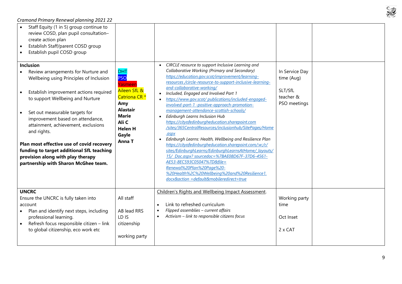$\mathbb{Z}$  $\mathcal{C}$ 

| Staff Equity (1 in 5) group continue to<br>review COSD, plan pupil consultation-<br>create action plan<br>Establish Staff/parent COSD group<br>$\bullet$<br>Establish pupil COSD group<br><b>Inclusion</b><br>Review arrangements for Nurture and<br>Wellbeing using Principles of Inclusion<br>Establish improvement actions required<br>to support Wellbeing and Nurture<br>Set out measurable targets for<br>improvement based on attendance,<br>attainment, achievement, exclusions<br>and rights.<br>Plan most effective use of covid recovery<br>funding to target additional SfL teaching<br>provision along with play therapy<br>partnership with Sharon McGhee team. | <b>DHT</b><br><b>PSO</b><br>Yasmeer<br>Aileen SfL &<br>Catriona CR <sup>*</sup><br>Amy<br><b>Alastair</b><br><b>Marie</b><br>Ali C<br><b>Helen H</b><br>Gayle<br>Anna T | CIRCLE resource to support Inclusive Learning and<br>Collaborative Working (Primary and Secondary)<br>https://education.gov.scot/improvement/learning-<br>resources /circle-resource-to-support-inclusive-learning-<br>and-collaborative-working/<br>Included, Engaged and Involved Part 1<br>https://www.gov.scot/publications/included-engaged-<br>involved-part-1 -positive-approach-promotion-<br>management-attendance-scottish-schools/<br>Edinburgh Learns Inclusion Hub<br>$\bullet$<br>https://cityofedinburgheducation.sharepoint.com<br>/sites/365CentralResources/inclusionhub/SitePages/Home<br>aspx.<br>Edinburgh Learns: Health, Wellbeing and Resilience Plan<br>https://cityofedinburgheducation.sharepoint.com/:w:/r/<br>sites/EdinburghLearns/EdinburghLearnsAtHome/ layouts/<br>15/ Doc.aspx? sourcedoc=%7BAE08D67F-37D6-4561-<br>AE53-8EC593C05047%7D&file=<br>Renewal%20Plan%20Page%20-<br>%20Health%2C%20Wellbeing%20and%20Resilience1.<br>docx&action =default&mobileredirect=true | In Service Day<br>time (Aug)<br>SLT/SfL<br>teacher &<br>PSO meetings |  |
|-------------------------------------------------------------------------------------------------------------------------------------------------------------------------------------------------------------------------------------------------------------------------------------------------------------------------------------------------------------------------------------------------------------------------------------------------------------------------------------------------------------------------------------------------------------------------------------------------------------------------------------------------------------------------------|-------------------------------------------------------------------------------------------------------------------------------------------------------------------------|------------------------------------------------------------------------------------------------------------------------------------------------------------------------------------------------------------------------------------------------------------------------------------------------------------------------------------------------------------------------------------------------------------------------------------------------------------------------------------------------------------------------------------------------------------------------------------------------------------------------------------------------------------------------------------------------------------------------------------------------------------------------------------------------------------------------------------------------------------------------------------------------------------------------------------------------------------------------------------------------------------|----------------------------------------------------------------------|--|
| <b>UNCRC</b><br>Ensure the UNCRC is fully taken into<br>account<br>Plan and identify next steps, including<br>professional learning.<br>Refresh focus responsible citizen - link<br>to global citizenship, eco work etc                                                                                                                                                                                                                                                                                                                                                                                                                                                       | All staff<br>AB lead RRS<br>LD IS<br>citizenship<br>working party                                                                                                       | Children's Rights and Wellbeing Impact Assessment.<br>Link to refreshed curriculum<br>$\bullet$<br>Flipped assemblies - current affairs<br>$\bullet$<br>Activism - link to responsible citizens focus<br>$\bullet$                                                                                                                                                                                                                                                                                                                                                                                                                                                                                                                                                                                                                                                                                                                                                                                         | Working party<br>time<br>Oct Inset<br>2 x CAT                        |  |